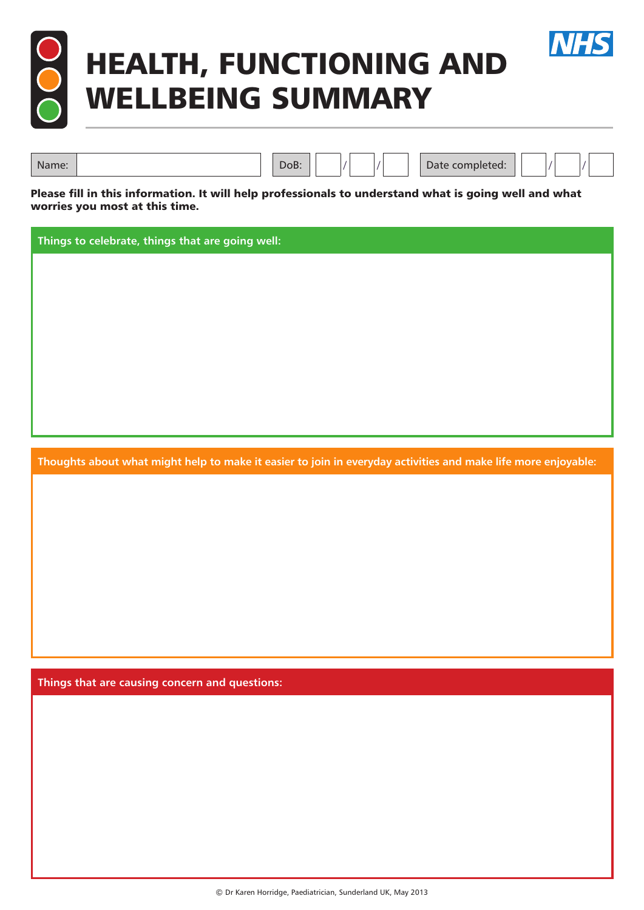

## HEALTH, FUNCTIONING AND WELLBEING SUMMARY



Please fill in this information. It will help professionals to understand what is going well and what worries you most at this time.

Name: Name: Name: Name: Name: Name: Name: Name: Name: Name: Name: Name: Name: Name: Name: Name: Name: Name: Name: Name: Name: Name: Name: Name: Name: Name: Name: Name: Name: Name: Name: Name: Name: Name: Name: Name: Name:

**Things to celebrate, things that are going well:**

**Thoughts about what might help to make it easier to join in everyday activities and make life more enjoyable:**

**Things that are causing concern and questions:**